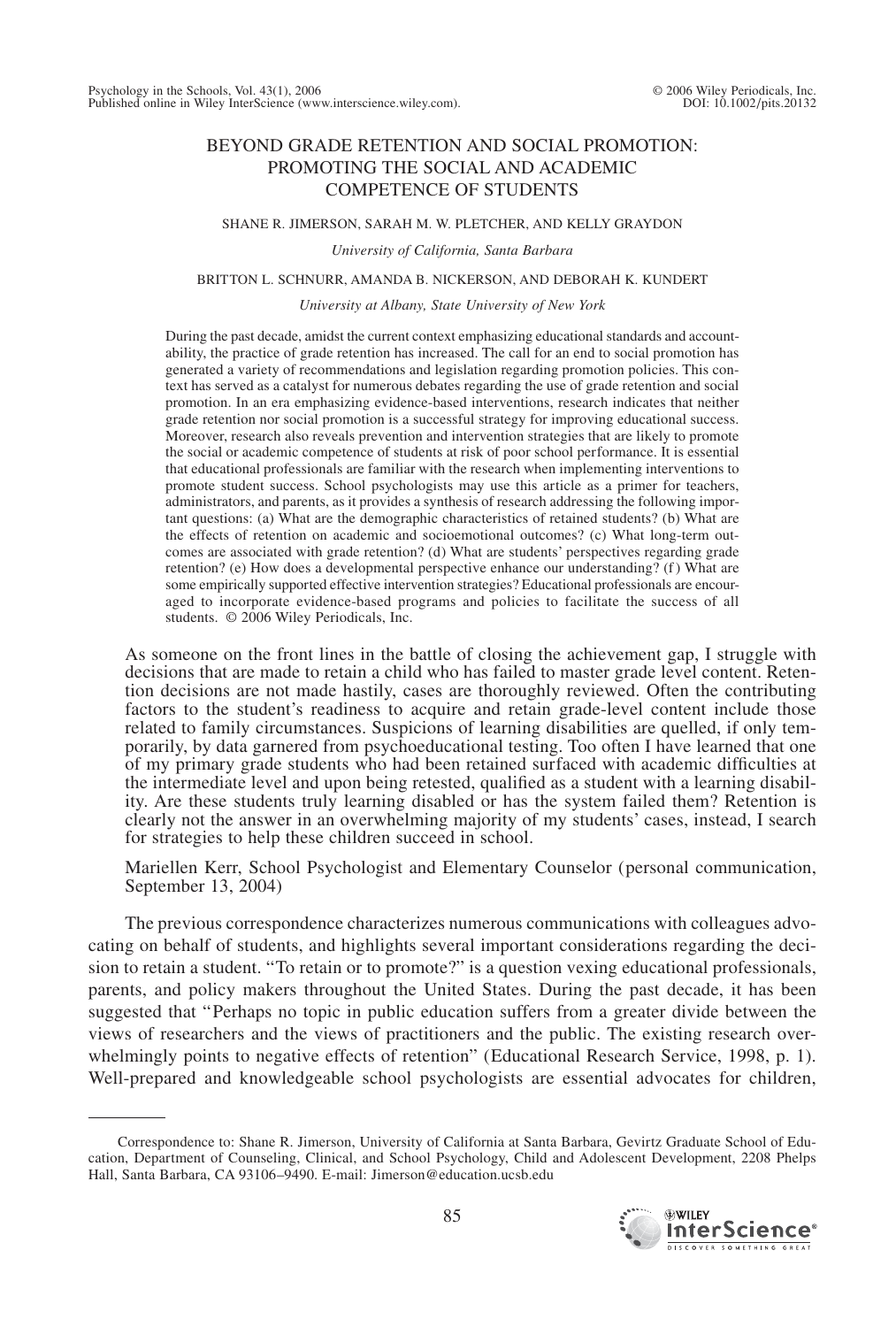# BEYOND GRADE RETENTION AND SOCIAL PROMOTION: PROMOTING THE SOCIAL AND ACADEMIC COMPETENCE OF STUDENTS

#### SHANE R. JIMERSON, SARAH M. W. PLETCHER, AND KELLY GRAYDON

*University of California, Santa Barbara*

#### BRITTON L. SCHNURR, AMANDA B. NICKERSON, AND DEBORAH K. KUNDERT

#### *University at Albany, State University of New York*

During the past decade, amidst the current context emphasizing educational standards and accountability, the practice of grade retention has increased. The call for an end to social promotion has generated a variety of recommendations and legislation regarding promotion policies. This context has served as a catalyst for numerous debates regarding the use of grade retention and social promotion. In an era emphasizing evidence-based interventions, research indicates that neither grade retention nor social promotion is a successful strategy for improving educational success. Moreover, research also reveals prevention and intervention strategies that are likely to promote the social or academic competence of students at risk of poor school performance. It is essential that educational professionals are familiar with the research when implementing interventions to promote student success. School psychologists may use this article as a primer for teachers, administrators, and parents, as it provides a synthesis of research addressing the following important questions: (a) What are the demographic characteristics of retained students? (b) What are the effects of retention on academic and socioemotional outcomes? (c) What long-term outcomes are associated with grade retention? (d) What are students' perspectives regarding grade retention? (e) How does a developmental perspective enhance our understanding? (f) What are some empirically supported effective intervention strategies? Educational professionals are encouraged to incorporate evidence-based programs and policies to facilitate the success of all students. © 2006 Wiley Periodicals, Inc.

As someone on the front lines in the battle of closing the achievement gap, I struggle with decisions that are made to retain a child who has failed to master grade level content. Retention decisions are not made hastily, cases are thoroughly reviewed. Often the contributing factors to the student's readiness to acquire and retain grade-level content include those related to family circumstances. Suspicions of learning disabilities are quelled, if only temporarily, by data garnered from psychoeducational testing. Too often I have learned that one of my primary grade students who had been retained surfaced with academic difficulties at the intermediate level and upon being retested, qualified as a student with a learning disability. Are these students truly learning disabled or has the system failed them? Retention is clearly not the answer in an overwhelming majority of my students' cases, instead, I search for strategies to help these children succeed in school.

Mariellen Kerr, School Psychologist and Elementary Counselor (personal communication, September 13, 2004)

The previous correspondence characterizes numerous communications with colleagues advocating on behalf of students, and highlights several important considerations regarding the decision to retain a student. "To retain or to promote?" is a question vexing educational professionals, parents, and policy makers throughout the United States. During the past decade, it has been suggested that "Perhaps no topic in public education suffers from a greater divide between the views of researchers and the views of practitioners and the public. The existing research overwhelmingly points to negative effects of retention" (Educational Research Service, 1998, p. 1). Well-prepared and knowledgeable school psychologists are essential advocates for children,

Correspondence to: Shane R. Jimerson, University of California at Santa Barbara, Gevirtz Graduate School of Education, Department of Counseling, Clinical, and School Psychology, Child and Adolescent Development, 2208 Phelps Hall, Santa Barbara, CA 93106–9490. E-mail: Jimerson@education.ucsb.edu

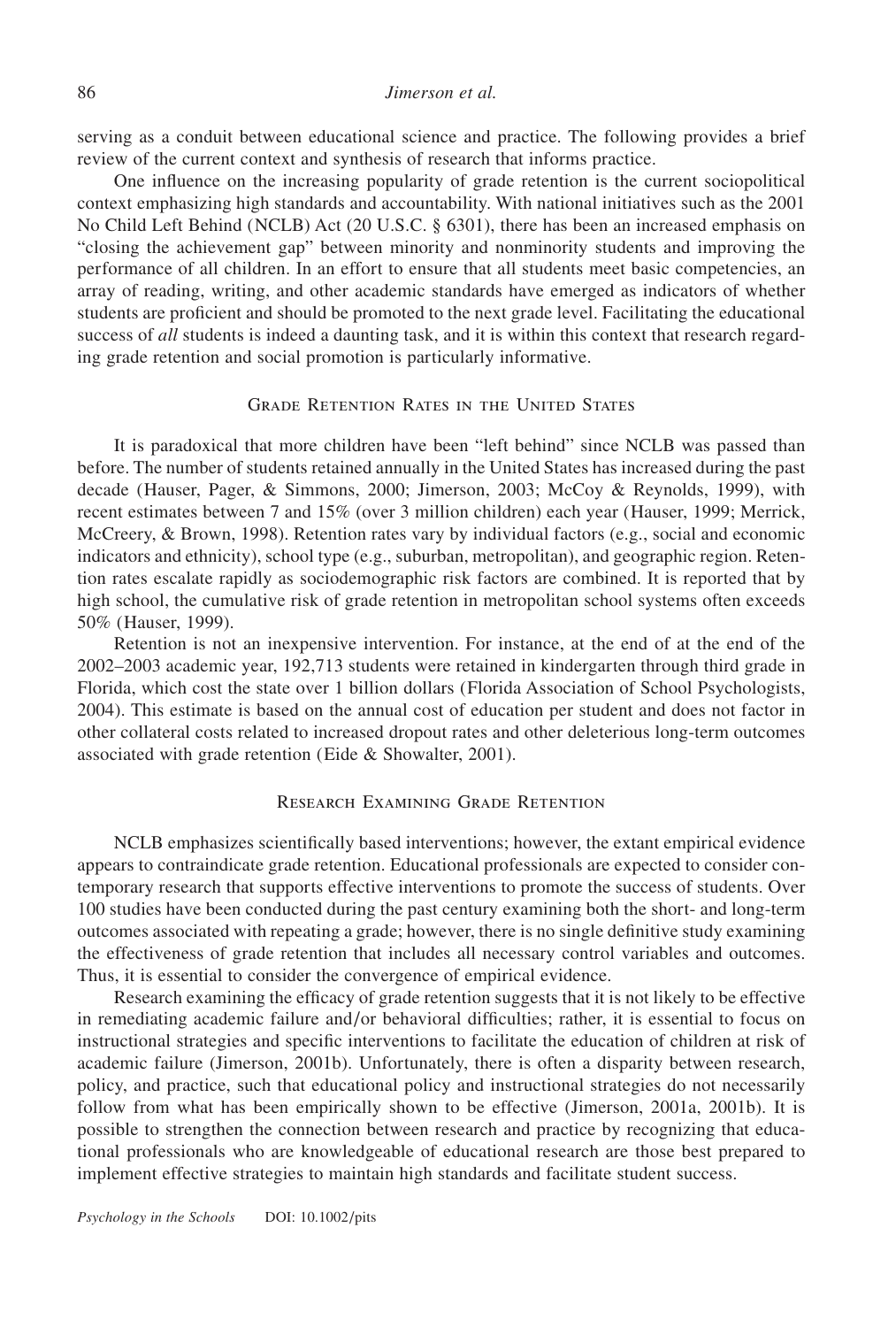## 86 *Jimerson et al.*

serving as a conduit between educational science and practice. The following provides a brief review of the current context and synthesis of research that informs practice.

One influence on the increasing popularity of grade retention is the current sociopolitical context emphasizing high standards and accountability. With national initiatives such as the 2001 No Child Left Behind (NCLB) Act (20 U.S.C. § 6301), there has been an increased emphasis on "closing the achievement gap" between minority and nonminority students and improving the performance of all children. In an effort to ensure that all students meet basic competencies, an array of reading, writing, and other academic standards have emerged as indicators of whether students are proficient and should be promoted to the next grade level. Facilitating the educational success of *all* students is indeed a daunting task, and it is within this context that research regarding grade retention and social promotion is particularly informative.

## Grade Retention Rates in the United States

It is paradoxical that more children have been "left behind" since NCLB was passed than before. The number of students retained annually in the United States has increased during the past decade (Hauser, Pager, & Simmons, 2000; Jimerson, 2003; McCoy & Reynolds, 1999), with recent estimates between 7 and 15% (over 3 million children) each year (Hauser, 1999; Merrick, McCreery, & Brown, 1998). Retention rates vary by individual factors (e.g., social and economic indicators and ethnicity), school type (e.g., suburban, metropolitan), and geographic region. Retention rates escalate rapidly as sociodemographic risk factors are combined. It is reported that by high school, the cumulative risk of grade retention in metropolitan school systems often exceeds 50% (Hauser, 1999).

Retention is not an inexpensive intervention. For instance, at the end of at the end of the 2002–2003 academic year, 192,713 students were retained in kindergarten through third grade in Florida, which cost the state over 1 billion dollars (Florida Association of School Psychologists, 2004). This estimate is based on the annual cost of education per student and does not factor in other collateral costs related to increased dropout rates and other deleterious long-term outcomes associated with grade retention (Eide & Showalter, 2001).

## Research Examining Grade Retention

NCLB emphasizes scientifically based interventions; however, the extant empirical evidence appears to contraindicate grade retention. Educational professionals are expected to consider contemporary research that supports effective interventions to promote the success of students. Over 100 studies have been conducted during the past century examining both the short- and long-term outcomes associated with repeating a grade; however, there is no single definitive study examining the effectiveness of grade retention that includes all necessary control variables and outcomes. Thus, it is essential to consider the convergence of empirical evidence.

Research examining the efficacy of grade retention suggests that it is not likely to be effective in remediating academic failure and/or behavioral difficulties; rather, it is essential to focus on instructional strategies and specific interventions to facilitate the education of children at risk of academic failure (Jimerson, 2001b). Unfortunately, there is often a disparity between research, policy, and practice, such that educational policy and instructional strategies do not necessarily follow from what has been empirically shown to be effective (Jimerson, 2001a, 2001b). It is possible to strengthen the connection between research and practice by recognizing that educational professionals who are knowledgeable of educational research are those best prepared to implement effective strategies to maintain high standards and facilitate student success.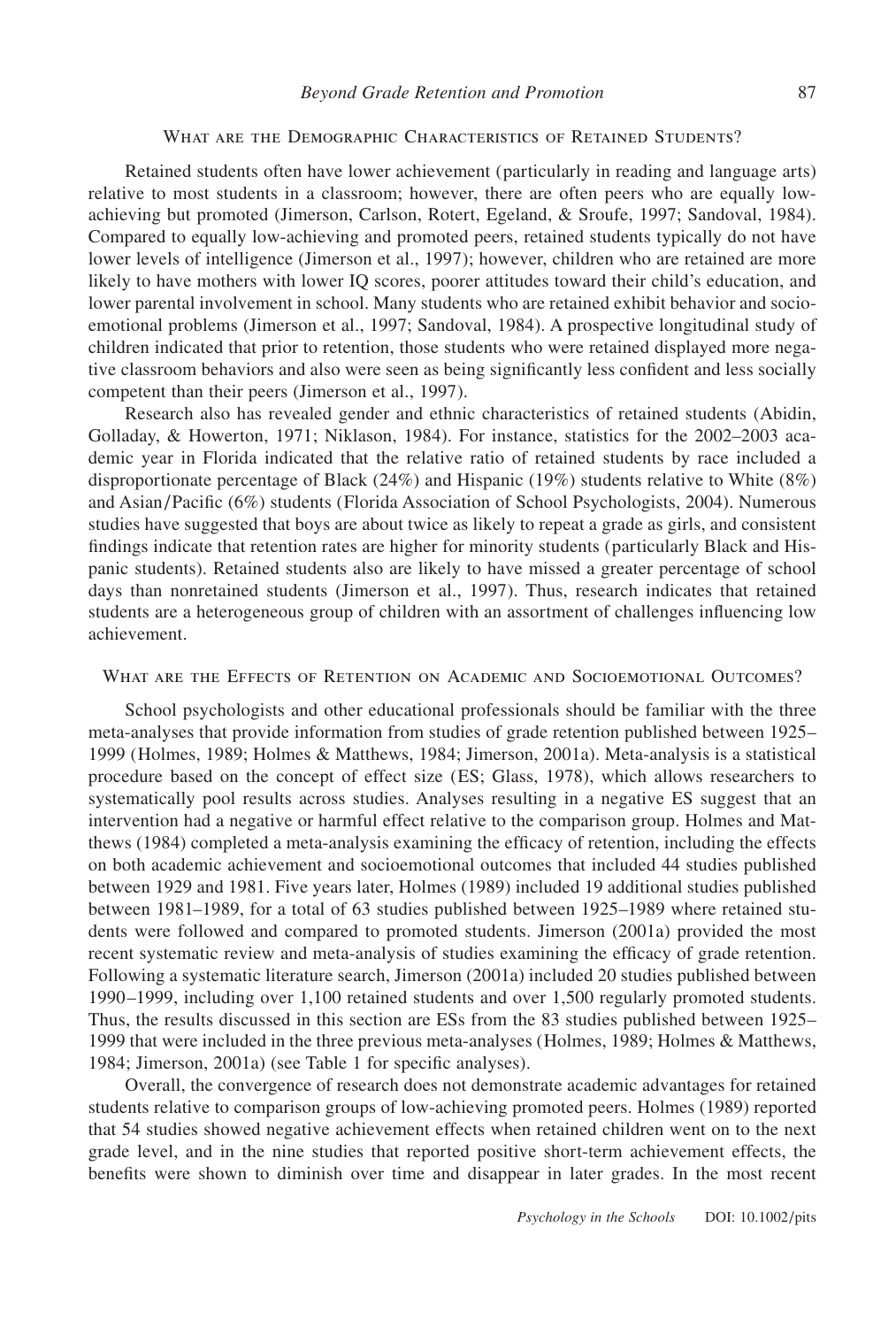## WHAT ARE THE DEMOGRAPHIC CHARACTERISTICS OF RETAINED STUDENTS?

Retained students often have lower achievement (particularly in reading and language arts) relative to most students in a classroom; however, there are often peers who are equally lowachieving but promoted (Jimerson, Carlson, Rotert, Egeland, & Sroufe, 1997; Sandoval, 1984). Compared to equally low-achieving and promoted peers, retained students typically do not have lower levels of intelligence (Jimerson et al., 1997); however, children who are retained are more likely to have mothers with lower IQ scores, poorer attitudes toward their child's education, and lower parental involvement in school. Many students who are retained exhibit behavior and socioemotional problems (Jimerson et al., 1997; Sandoval, 1984). A prospective longitudinal study of children indicated that prior to retention, those students who were retained displayed more negative classroom behaviors and also were seen as being significantly less confident and less socially competent than their peers (Jimerson et al., 1997).

Research also has revealed gender and ethnic characteristics of retained students (Abidin, Golladay, & Howerton, 1971; Niklason, 1984). For instance, statistics for the 2002–2003 academic year in Florida indicated that the relative ratio of retained students by race included a disproportionate percentage of Black (24%) and Hispanic (19%) students relative to White (8%) and Asian/Pacific (6%) students (Florida Association of School Psychologists, 2004). Numerous studies have suggested that boys are about twice as likely to repeat a grade as girls, and consistent findings indicate that retention rates are higher for minority students (particularly Black and Hispanic students). Retained students also are likely to have missed a greater percentage of school days than nonretained students (Jimerson et al., 1997). Thus, research indicates that retained students are a heterogeneous group of children with an assortment of challenges influencing low achievement.

## WHAT ARE THE EFFECTS OF RETENTION ON ACADEMIC AND SOCIOEMOTIONAL OUTCOMES?

School psychologists and other educational professionals should be familiar with the three meta-analyses that provide information from studies of grade retention published between 1925– 1999 (Holmes, 1989; Holmes & Matthews, 1984; Jimerson, 2001a). Meta-analysis is a statistical procedure based on the concept of effect size (ES; Glass, 1978), which allows researchers to systematically pool results across studies. Analyses resulting in a negative ES suggest that an intervention had a negative or harmful effect relative to the comparison group. Holmes and Matthews (1984) completed a meta-analysis examining the efficacy of retention, including the effects on both academic achievement and socioemotional outcomes that included 44 studies published between 1929 and 1981. Five years later, Holmes (1989) included 19 additional studies published between 1981–1989, for a total of 63 studies published between 1925–1989 where retained students were followed and compared to promoted students. Jimerson (2001a) provided the most recent systematic review and meta-analysis of studies examining the efficacy of grade retention. Following a systematic literature search, Jimerson (2001a) included 20 studies published between 1990–1999, including over 1,100 retained students and over 1,500 regularly promoted students. Thus, the results discussed in this section are ESs from the 83 studies published between 1925– 1999 that were included in the three previous meta-analyses (Holmes, 1989; Holmes & Matthews, 1984; Jimerson, 2001a) (see Table 1 for specific analyses).

Overall, the convergence of research does not demonstrate academic advantages for retained students relative to comparison groups of low-achieving promoted peers. Holmes (1989) reported that 54 studies showed negative achievement effects when retained children went on to the next grade level, and in the nine studies that reported positive short-term achievement effects, the benefits were shown to diminish over time and disappear in later grades. In the most recent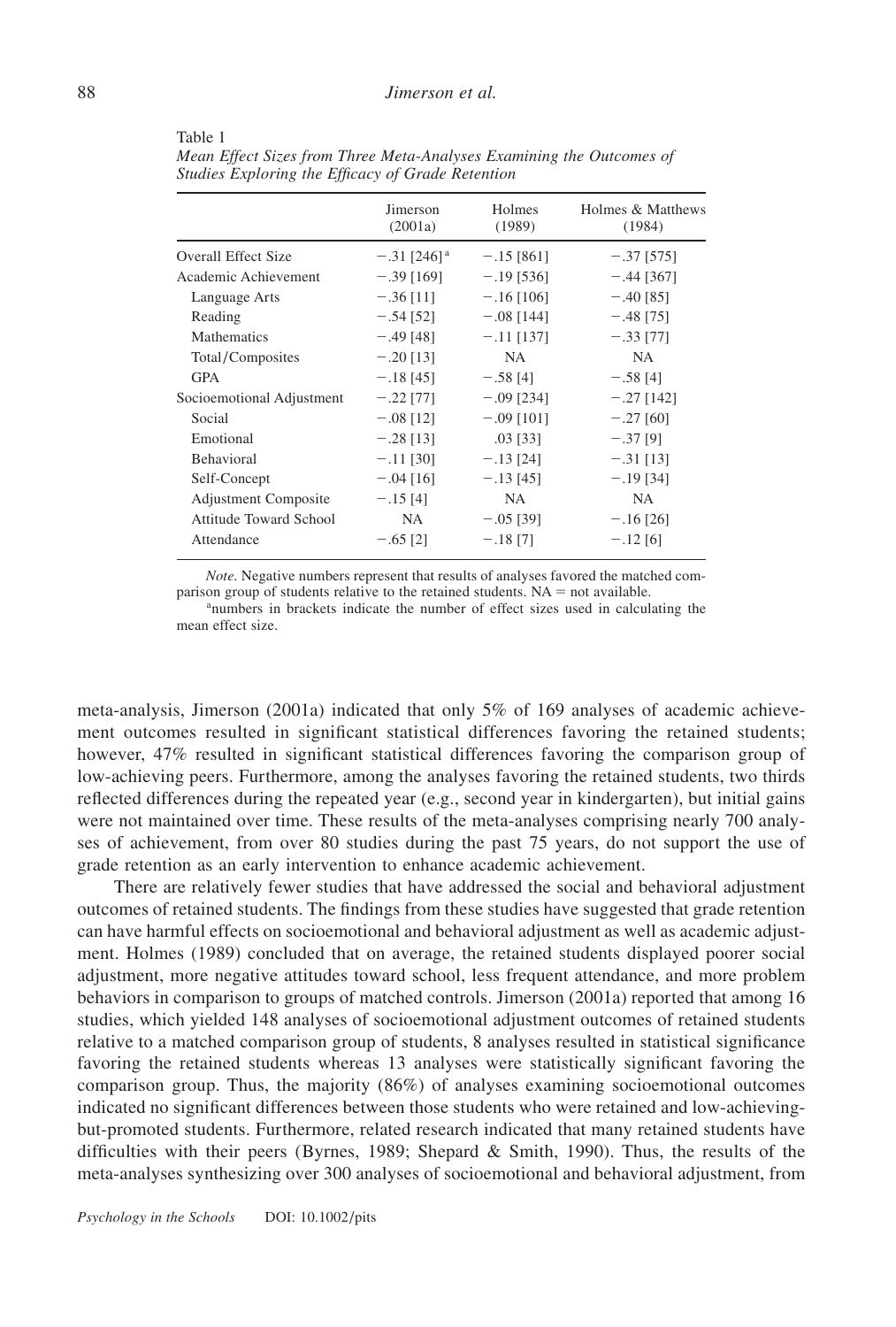|                             | Jimerson<br>(2001a)       | Holmes<br>(1989) | Holmes & Matthews<br>(1984) |
|-----------------------------|---------------------------|------------------|-----------------------------|
| <b>Overall Effect Size</b>  | $-.31$ [246] <sup>a</sup> | $-.15$ [861]     | $-.37$ [575]                |
| Academic Achievement        | $-.39$ [169]              | $-.19$ [536]     | $-.44$ [367]                |
| Language Arts               | $-.36$ [11]               | $-.16$ [106]     | $-.40$ [85]                 |
| Reading                     | $-.54$ [52]               | $-.08$ [144]     | $-.48$ [75]                 |
| <b>Mathematics</b>          | $-.49$ [48]               | $-.11$ [137]     | $-.33$ [77]                 |
| Total/Composites            | $-.20$ [13]               | NA.              | NA.                         |
| <b>GPA</b>                  | $-.18$ [45]               | $-.58$ [4]       | $-.58$ [4]                  |
| Socioemotional Adjustment   | $-.22$ [77]               | $-.09$ [234]     | $-.27$ [142]                |
| Social                      | $-.08$ [12]               | $-.09$ [101]     | $-.27$ [60]                 |
| Emotional                   | $-.28$ [13]               | $.03$ [33]       | $-.37$ [9]                  |
| <b>Behavioral</b>           | $-.11$ [30]               | $-.13$ [24]      | $-.31$ [13]                 |
| Self-Concept                | $-.04$ [16]               | $-.13$ [45]      | $-.19$ [34]                 |
| <b>Adjustment Composite</b> | $-.15$ [4]                | NA.              | NA.                         |
| Attitude Toward School      | NA.                       | $-.05$ [39]      | $-.16$ [26]                 |
| Attendance                  | $-.65$ [2]                | $-.18$ [7]       | $-.12$ [6]                  |

Table 1

*Mean Effect Sizes from Three Meta-Analyses Examining the Outcomes of Studies Exploring the Efficacy of Grade Retention*

*Note.* Negative numbers represent that results of analyses favored the matched comparison group of students relative to the retained students.  $NA = not$  available. <sup>a</sup>numbers in brackets indicate the number of effect sizes used in calculating the

mean effect size.

meta-analysis, Jimerson (2001a) indicated that only 5% of 169 analyses of academic achievement outcomes resulted in significant statistical differences favoring the retained students; however, 47% resulted in significant statistical differences favoring the comparison group of low-achieving peers. Furthermore, among the analyses favoring the retained students, two thirds reflected differences during the repeated year (e.g., second year in kindergarten), but initial gains were not maintained over time. These results of the meta-analyses comprising nearly 700 analyses of achievement, from over 80 studies during the past 75 years, do not support the use of grade retention as an early intervention to enhance academic achievement.

There are relatively fewer studies that have addressed the social and behavioral adjustment outcomes of retained students. The findings from these studies have suggested that grade retention can have harmful effects on socioemotional and behavioral adjustment as well as academic adjustment. Holmes (1989) concluded that on average, the retained students displayed poorer social adjustment, more negative attitudes toward school, less frequent attendance, and more problem behaviors in comparison to groups of matched controls. Jimerson (2001a) reported that among 16 studies, which yielded 148 analyses of socioemotional adjustment outcomes of retained students relative to a matched comparison group of students, 8 analyses resulted in statistical significance favoring the retained students whereas 13 analyses were statistically significant favoring the comparison group. Thus, the majority (86%) of analyses examining socioemotional outcomes indicated no significant differences between those students who were retained and low-achievingbut-promoted students. Furthermore, related research indicated that many retained students have difficulties with their peers (Byrnes, 1989; Shepard & Smith, 1990). Thus, the results of the meta-analyses synthesizing over 300 analyses of socioemotional and behavioral adjustment, from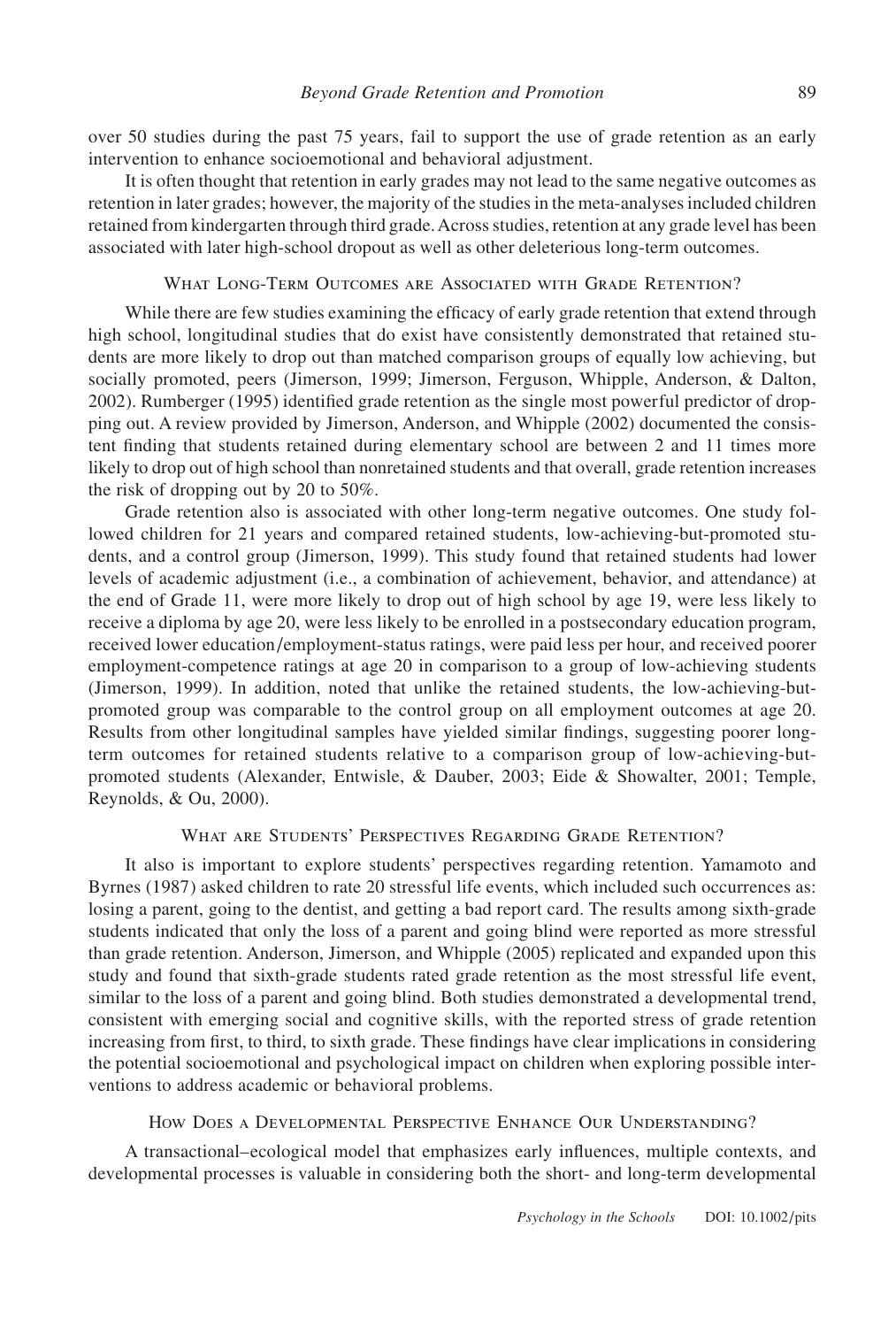over 50 studies during the past 75 years, fail to support the use of grade retention as an early intervention to enhance socioemotional and behavioral adjustment.

It is often thought that retention in early grades may not lead to the same negative outcomes as retention in later grades; however, the majority of the studies in the meta-analyses included children retained from kindergarten through third grade.Across studies, retention at any grade level has been associated with later high-school dropout as well as other deleterious long-term outcomes.

## What Long-Term Outcomes are Associated with Grade Retention?

While there are few studies examining the efficacy of early grade retention that extend through high school, longitudinal studies that do exist have consistently demonstrated that retained students are more likely to drop out than matched comparison groups of equally low achieving, but socially promoted, peers (Jimerson, 1999; Jimerson, Ferguson, Whipple, Anderson, & Dalton, 2002). Rumberger (1995) identified grade retention as the single most powerful predictor of dropping out. A review provided by Jimerson, Anderson, and Whipple (2002) documented the consistent finding that students retained during elementary school are between 2 and 11 times more likely to drop out of high school than nonretained students and that overall, grade retention increases the risk of dropping out by 20 to 50%.

Grade retention also is associated with other long-term negative outcomes. One study followed children for 21 years and compared retained students, low-achieving-but-promoted students, and a control group (Jimerson, 1999). This study found that retained students had lower levels of academic adjustment (i.e., a combination of achievement, behavior, and attendance) at the end of Grade 11, were more likely to drop out of high school by age 19, were less likely to receive a diploma by age 20, were less likely to be enrolled in a postsecondary education program, received lower education/employment-status ratings, were paid less per hour, and received poorer employment-competence ratings at age 20 in comparison to a group of low-achieving students (Jimerson, 1999). In addition, noted that unlike the retained students, the low-achieving-butpromoted group was comparable to the control group on all employment outcomes at age 20. Results from other longitudinal samples have yielded similar findings, suggesting poorer longterm outcomes for retained students relative to a comparison group of low-achieving-butpromoted students (Alexander, Entwisle, & Dauber, 2003; Eide & Showalter, 2001; Temple, Reynolds, & Ou, 2000).

## What are Students' Perspectives Regarding Grade Retention?

It also is important to explore students' perspectives regarding retention. Yamamoto and Byrnes (1987) asked children to rate 20 stressful life events, which included such occurrences as: losing a parent, going to the dentist, and getting a bad report card. The results among sixth-grade students indicated that only the loss of a parent and going blind were reported as more stressful than grade retention. Anderson, Jimerson, and Whipple (2005) replicated and expanded upon this study and found that sixth-grade students rated grade retention as the most stressful life event, similar to the loss of a parent and going blind. Both studies demonstrated a developmental trend, consistent with emerging social and cognitive skills, with the reported stress of grade retention increasing from first, to third, to sixth grade. These findings have clear implications in considering the potential socioemotional and psychological impact on children when exploring possible interventions to address academic or behavioral problems.

## How Does a Developmental Perspective Enhance Our Understanding?

A transactional–ecological model that emphasizes early influences, multiple contexts, and developmental processes is valuable in considering both the short- and long-term developmental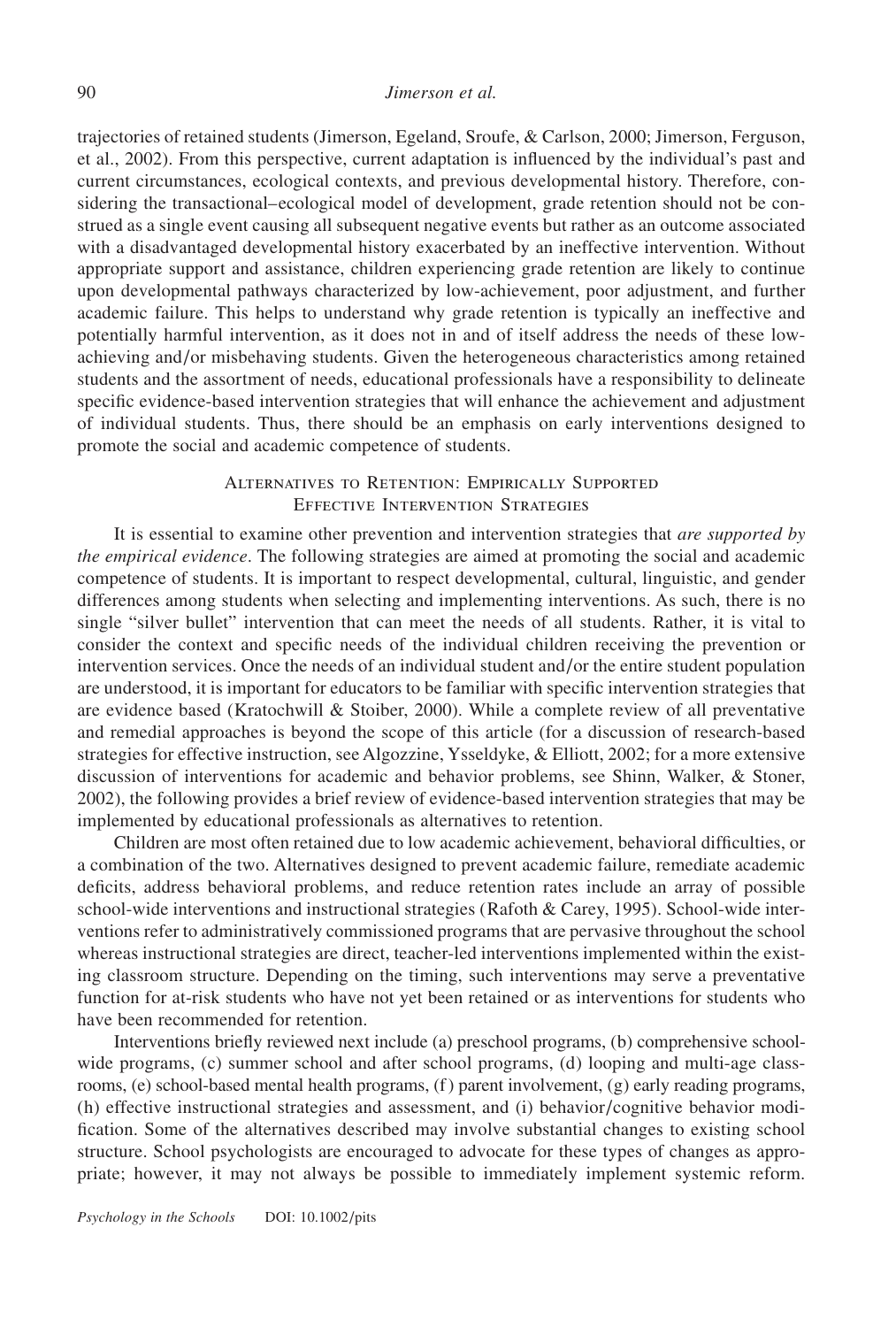## 90 *Jimerson et al.*

trajectories of retained students (Jimerson, Egeland, Sroufe, & Carlson, 2000; Jimerson, Ferguson, et al., 2002). From this perspective, current adaptation is influenced by the individual's past and current circumstances, ecological contexts, and previous developmental history. Therefore, considering the transactional–ecological model of development, grade retention should not be construed as a single event causing all subsequent negative events but rather as an outcome associated with a disadvantaged developmental history exacerbated by an ineffective intervention. Without appropriate support and assistance, children experiencing grade retention are likely to continue upon developmental pathways characterized by low-achievement, poor adjustment, and further academic failure. This helps to understand why grade retention is typically an ineffective and potentially harmful intervention, as it does not in and of itself address the needs of these lowachieving and/or misbehaving students. Given the heterogeneous characteristics among retained students and the assortment of needs, educational professionals have a responsibility to delineate specific evidence-based intervention strategies that will enhance the achievement and adjustment of individual students. Thus, there should be an emphasis on early interventions designed to promote the social and academic competence of students.

# Alternatives to Retention: Empirically Supported Effective Intervention Strategies

It is essential to examine other prevention and intervention strategies that *are supported by the empirical evidence*. The following strategies are aimed at promoting the social and academic competence of students. It is important to respect developmental, cultural, linguistic, and gender differences among students when selecting and implementing interventions. As such, there is no single "silver bullet" intervention that can meet the needs of all students. Rather, it is vital to consider the context and specific needs of the individual children receiving the prevention or intervention services. Once the needs of an individual student and/or the entire student population are understood, it is important for educators to be familiar with specific intervention strategies that are evidence based (Kratochwill & Stoiber, 2000). While a complete review of all preventative and remedial approaches is beyond the scope of this article (for a discussion of research-based strategies for effective instruction, see Algozzine, Ysseldyke, & Elliott, 2002; for a more extensive discussion of interventions for academic and behavior problems, see Shinn, Walker, & Stoner, 2002), the following provides a brief review of evidence-based intervention strategies that may be implemented by educational professionals as alternatives to retention.

Children are most often retained due to low academic achievement, behavioral difficulties, or a combination of the two. Alternatives designed to prevent academic failure, remediate academic deficits, address behavioral problems, and reduce retention rates include an array of possible school-wide interventions and instructional strategies (Rafoth & Carey, 1995). School-wide interventions refer to administratively commissioned programs that are pervasive throughout the school whereas instructional strategies are direct, teacher-led interventions implemented within the existing classroom structure. Depending on the timing, such interventions may serve a preventative function for at-risk students who have not yet been retained or as interventions for students who have been recommended for retention.

Interventions briefly reviewed next include (a) preschool programs, (b) comprehensive schoolwide programs, (c) summer school and after school programs, (d) looping and multi-age classrooms, (e) school-based mental health programs, (f) parent involvement, (g) early reading programs, (h) effective instructional strategies and assessment, and (i) behavior/cognitive behavior modification. Some of the alternatives described may involve substantial changes to existing school structure. School psychologists are encouraged to advocate for these types of changes as appropriate; however, it may not always be possible to immediately implement systemic reform.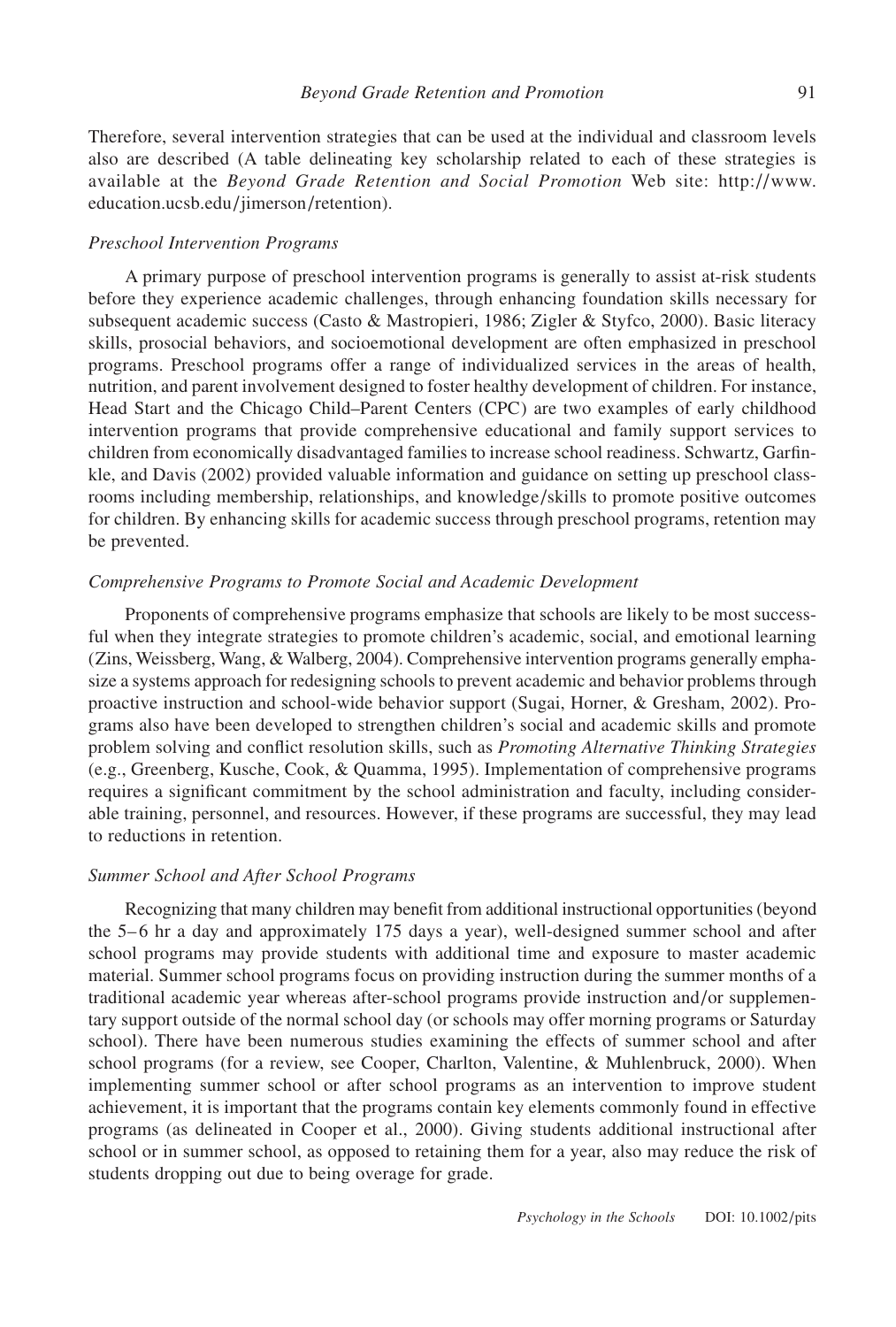Therefore, several intervention strategies that can be used at the individual and classroom levels also are described (A table delineating key scholarship related to each of these strategies is available at the *Beyond Grade Retention and Social Promotion* Web site: http://www. education.ucsb.edu/jimerson/retention).

#### *Preschool Intervention Programs*

A primary purpose of preschool intervention programs is generally to assist at-risk students before they experience academic challenges, through enhancing foundation skills necessary for subsequent academic success (Casto & Mastropieri, 1986; Zigler & Styfco, 2000). Basic literacy skills, prosocial behaviors, and socioemotional development are often emphasized in preschool programs. Preschool programs offer a range of individualized services in the areas of health, nutrition, and parent involvement designed to foster healthy development of children. For instance, Head Start and the Chicago Child–Parent Centers (CPC) are two examples of early childhood intervention programs that provide comprehensive educational and family support services to children from economically disadvantaged families to increase school readiness. Schwartz, Garfinkle, and Davis (2002) provided valuable information and guidance on setting up preschool classrooms including membership, relationships, and knowledge/skills to promote positive outcomes for children. By enhancing skills for academic success through preschool programs, retention may be prevented.

### *Comprehensive Programs to Promote Social and Academic Development*

Proponents of comprehensive programs emphasize that schools are likely to be most successful when they integrate strategies to promote children's academic, social, and emotional learning (Zins, Weissberg, Wang, & Walberg, 2004). Comprehensive intervention programs generally emphasize a systems approach for redesigning schools to prevent academic and behavior problems through proactive instruction and school-wide behavior support (Sugai, Horner, & Gresham, 2002). Programs also have been developed to strengthen children's social and academic skills and promote problem solving and conflict resolution skills, such as *Promoting Alternative Thinking Strategies* (e.g., Greenberg, Kusche, Cook, & Quamma, 1995). Implementation of comprehensive programs requires a significant commitment by the school administration and faculty, including considerable training, personnel, and resources. However, if these programs are successful, they may lead to reductions in retention.

### *Summer School and After School Programs*

Recognizing that many children may benefit from additional instructional opportunities (beyond the 5–6 hr a day and approximately 175 days a year), well-designed summer school and after school programs may provide students with additional time and exposure to master academic material. Summer school programs focus on providing instruction during the summer months of a traditional academic year whereas after-school programs provide instruction and/or supplementary support outside of the normal school day (or schools may offer morning programs or Saturday school). There have been numerous studies examining the effects of summer school and after school programs (for a review, see Cooper, Charlton, Valentine, & Muhlenbruck, 2000). When implementing summer school or after school programs as an intervention to improve student achievement, it is important that the programs contain key elements commonly found in effective programs (as delineated in Cooper et al., 2000). Giving students additional instructional after school or in summer school, as opposed to retaining them for a year, also may reduce the risk of students dropping out due to being overage for grade.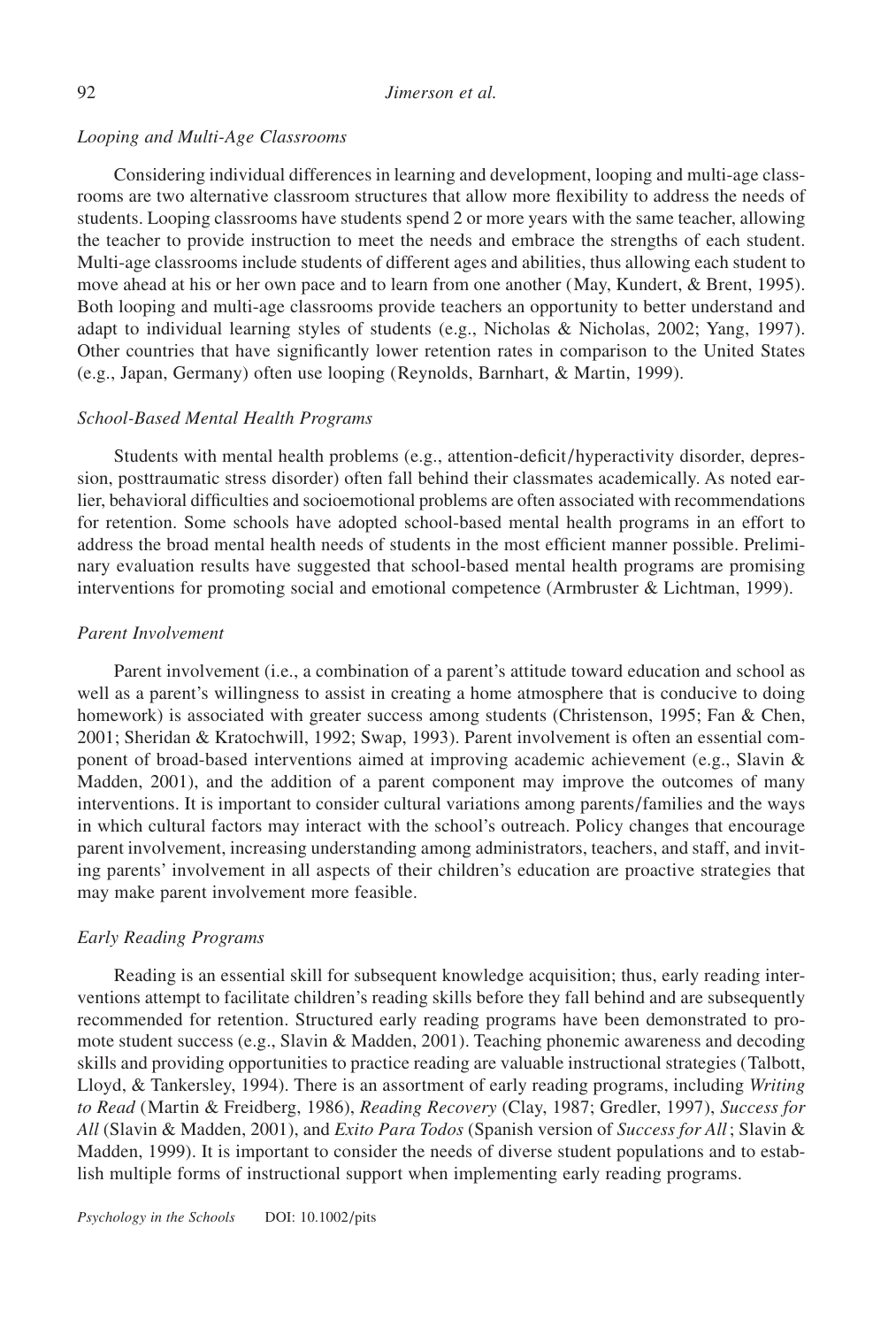## *Looping and Multi-Age Classrooms*

Considering individual differences in learning and development, looping and multi-age classrooms are two alternative classroom structures that allow more flexibility to address the needs of students. Looping classrooms have students spend 2 or more years with the same teacher, allowing the teacher to provide instruction to meet the needs and embrace the strengths of each student. Multi-age classrooms include students of different ages and abilities, thus allowing each student to move ahead at his or her own pace and to learn from one another (May, Kundert, & Brent, 1995). Both looping and multi-age classrooms provide teachers an opportunity to better understand and adapt to individual learning styles of students (e.g., Nicholas & Nicholas, 2002; Yang, 1997). Other countries that have significantly lower retention rates in comparison to the United States (e.g., Japan, Germany) often use looping (Reynolds, Barnhart, & Martin, 1999).

## *School-Based Mental Health Programs*

Students with mental health problems (e.g., attention-deficit/hyperactivity disorder, depression, posttraumatic stress disorder) often fall behind their classmates academically. As noted earlier, behavioral difficulties and socioemotional problems are often associated with recommendations for retention. Some schools have adopted school-based mental health programs in an effort to address the broad mental health needs of students in the most efficient manner possible. Preliminary evaluation results have suggested that school-based mental health programs are promising interventions for promoting social and emotional competence (Armbruster & Lichtman, 1999).

## *Parent Involvement*

Parent involvement (i.e., a combination of a parent's attitude toward education and school as well as a parent's willingness to assist in creating a home atmosphere that is conducive to doing homework) is associated with greater success among students (Christenson, 1995; Fan & Chen, 2001; Sheridan & Kratochwill, 1992; Swap, 1993). Parent involvement is often an essential component of broad-based interventions aimed at improving academic achievement (e.g., Slavin & Madden, 2001), and the addition of a parent component may improve the outcomes of many interventions. It is important to consider cultural variations among parents/families and the ways in which cultural factors may interact with the school's outreach. Policy changes that encourage parent involvement, increasing understanding among administrators, teachers, and staff, and inviting parents' involvement in all aspects of their children's education are proactive strategies that may make parent involvement more feasible.

## *Early Reading Programs*

Reading is an essential skill for subsequent knowledge acquisition; thus, early reading interventions attempt to facilitate children's reading skills before they fall behind and are subsequently recommended for retention. Structured early reading programs have been demonstrated to promote student success (e.g., Slavin & Madden, 2001). Teaching phonemic awareness and decoding skills and providing opportunities to practice reading are valuable instructional strategies (Talbott, Lloyd, & Tankersley, 1994). There is an assortment of early reading programs, including *Writing to Read* (Martin & Freidberg, 1986), *Reading Recovery* (Clay, 1987; Gredler, 1997), *Success for All* (Slavin & Madden, 2001), and *Exito Para Todos* (Spanish version of *Success for All*; Slavin & Madden, 1999). It is important to consider the needs of diverse student populations and to establish multiple forms of instructional support when implementing early reading programs.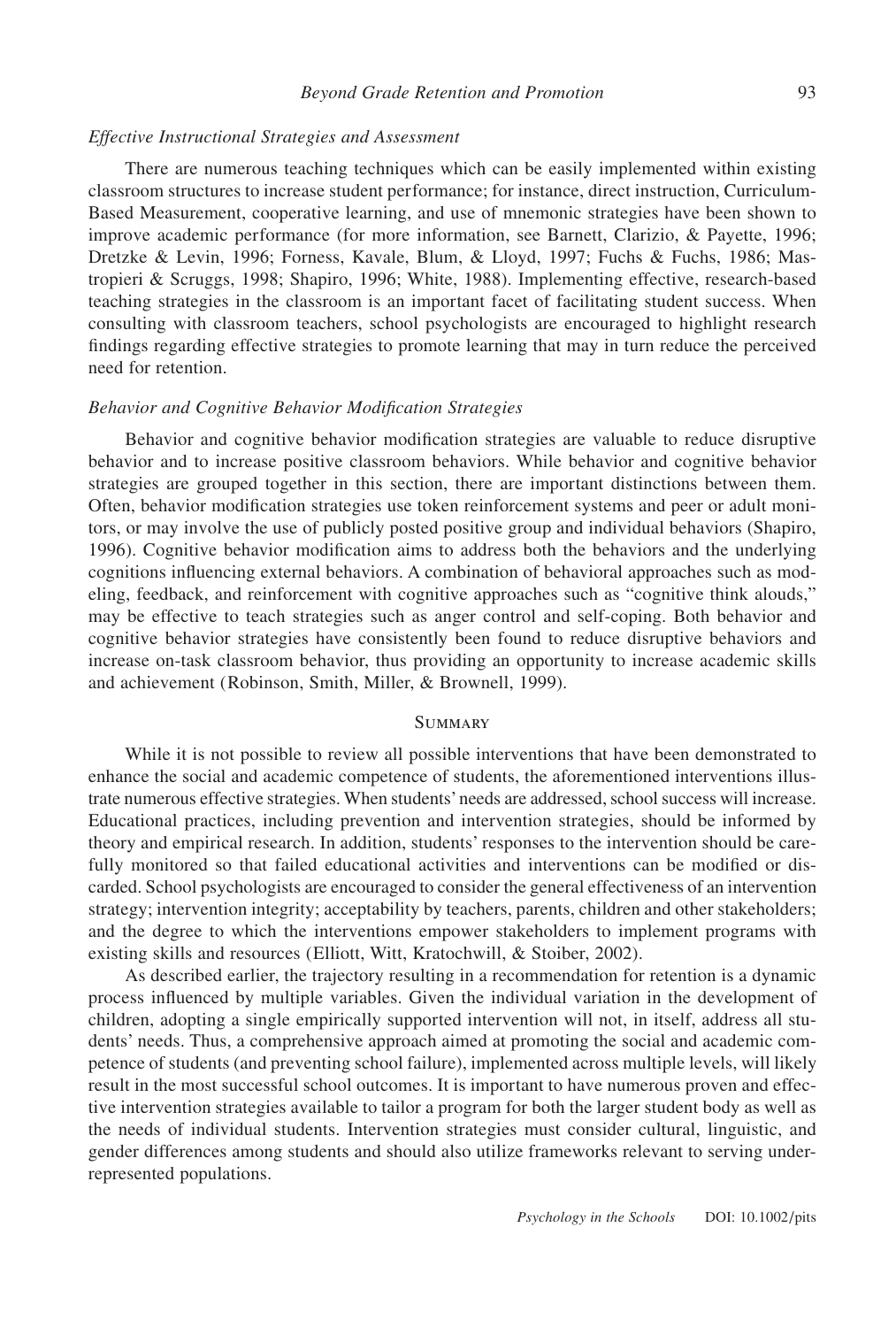### *Effective Instructional Strategies and Assessment*

There are numerous teaching techniques which can be easily implemented within existing classroom structures to increase student performance; for instance, direct instruction, Curriculum-Based Measurement, cooperative learning, and use of mnemonic strategies have been shown to improve academic performance (for more information, see Barnett, Clarizio, & Payette, 1996; Dretzke & Levin, 1996; Forness, Kavale, Blum, & Lloyd, 1997; Fuchs & Fuchs, 1986; Mastropieri & Scruggs, 1998; Shapiro, 1996; White, 1988). Implementing effective, research-based teaching strategies in the classroom is an important facet of facilitating student success. When consulting with classroom teachers, school psychologists are encouraged to highlight research findings regarding effective strategies to promote learning that may in turn reduce the perceived need for retention.

## *Behavior and Cognitive Behavior Modification Strategies*

Behavior and cognitive behavior modification strategies are valuable to reduce disruptive behavior and to increase positive classroom behaviors. While behavior and cognitive behavior strategies are grouped together in this section, there are important distinctions between them. Often, behavior modification strategies use token reinforcement systems and peer or adult monitors, or may involve the use of publicly posted positive group and individual behaviors (Shapiro, 1996). Cognitive behavior modification aims to address both the behaviors and the underlying cognitions influencing external behaviors. A combination of behavioral approaches such as modeling, feedback, and reinforcement with cognitive approaches such as "cognitive think alouds," may be effective to teach strategies such as anger control and self-coping. Both behavior and cognitive behavior strategies have consistently been found to reduce disruptive behaviors and increase on-task classroom behavior, thus providing an opportunity to increase academic skills and achievement (Robinson, Smith, Miller, & Brownell, 1999).

## **SUMMARY**

While it is not possible to review all possible interventions that have been demonstrated to enhance the social and academic competence of students, the aforementioned interventions illustrate numerous effective strategies. When students'needs are addressed, school success will increase. Educational practices, including prevention and intervention strategies, should be informed by theory and empirical research. In addition, students' responses to the intervention should be carefully monitored so that failed educational activities and interventions can be modified or discarded. School psychologists are encouraged to consider the general effectiveness of an intervention strategy; intervention integrity; acceptability by teachers, parents, children and other stakeholders; and the degree to which the interventions empower stakeholders to implement programs with existing skills and resources (Elliott, Witt, Kratochwill, & Stoiber, 2002).

As described earlier, the trajectory resulting in a recommendation for retention is a dynamic process influenced by multiple variables. Given the individual variation in the development of children, adopting a single empirically supported intervention will not, in itself, address all students' needs. Thus, a comprehensive approach aimed at promoting the social and academic competence of students (and preventing school failure), implemented across multiple levels, will likely result in the most successful school outcomes. It is important to have numerous proven and effective intervention strategies available to tailor a program for both the larger student body as well as the needs of individual students. Intervention strategies must consider cultural, linguistic, and gender differences among students and should also utilize frameworks relevant to serving underrepresented populations.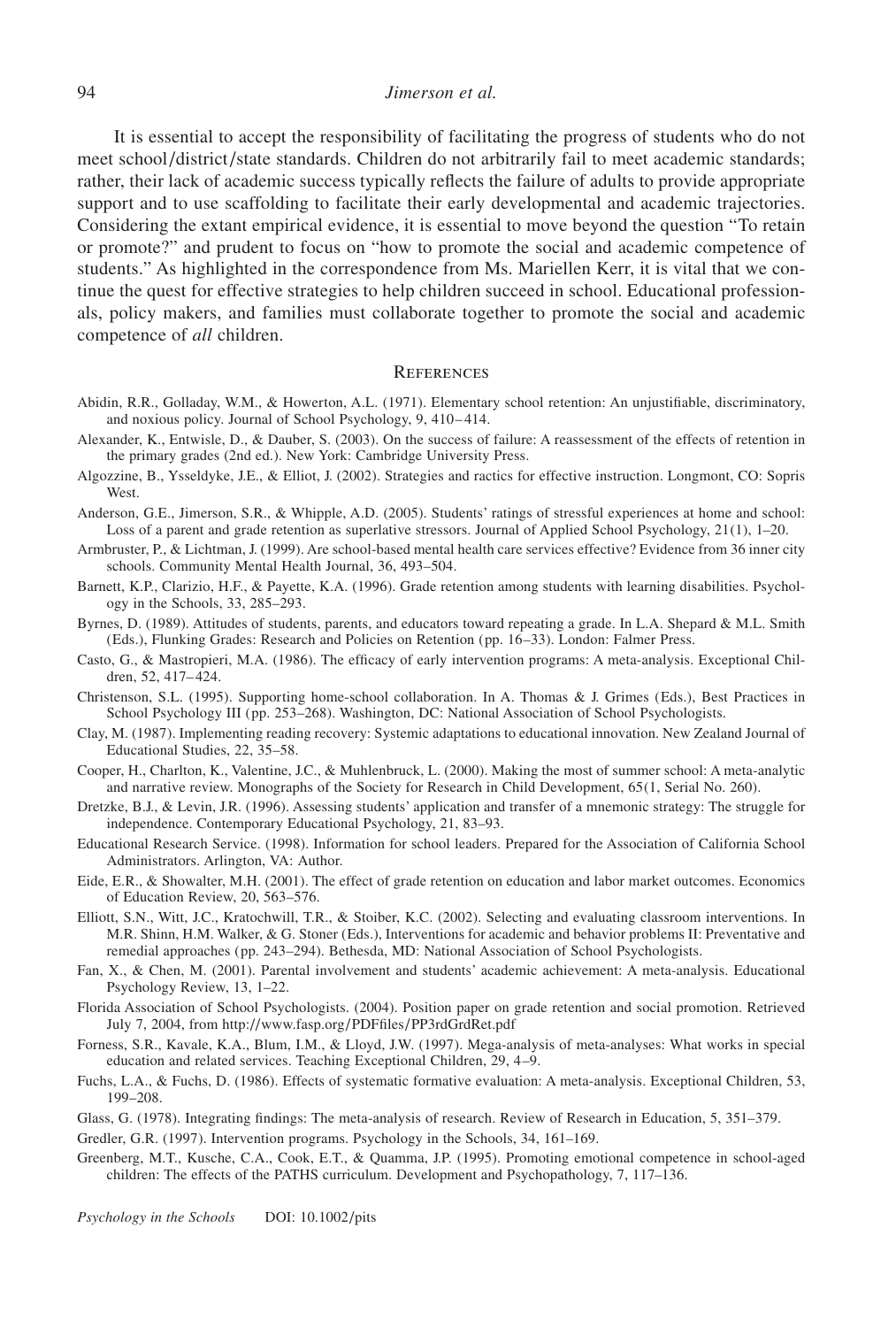#### 94 *Jimerson et al.*

It is essential to accept the responsibility of facilitating the progress of students who do not meet school/district/state standards. Children do not arbitrarily fail to meet academic standards; rather, their lack of academic success typically reflects the failure of adults to provide appropriate support and to use scaffolding to facilitate their early developmental and academic trajectories. Considering the extant empirical evidence, it is essential to move beyond the question "To retain or promote?" and prudent to focus on "how to promote the social and academic competence of students." As highlighted in the correspondence from Ms. Mariellen Kerr, it is vital that we continue the quest for effective strategies to help children succeed in school. Educational professionals, policy makers, and families must collaborate together to promote the social and academic competence of *all* children.

### **REFERENCES**

- Abidin, R.R., Golladay, W.M., & Howerton, A.L. (1971). Elementary school retention: An unjustifiable, discriminatory, and noxious policy. Journal of School Psychology, 9, 410– 414.
- Alexander, K., Entwisle, D., & Dauber, S. (2003). On the success of failure: A reassessment of the effects of retention in the primary grades (2nd ed.). New York: Cambridge University Press.
- Algozzine, B., Ysseldyke, J.E., & Elliot, J. (2002). Strategies and ractics for effective instruction. Longmont, CO: Sopris West.
- Anderson, G.E., Jimerson, S.R., & Whipple, A.D. (2005). Students' ratings of stressful experiences at home and school: Loss of a parent and grade retention as superlative stressors. Journal of Applied School Psychology, 21(1), 1–20.
- Armbruster, P., & Lichtman, J. (1999). Are school-based mental health care services effective? Evidence from 36 inner city schools. Community Mental Health Journal, 36, 493–504.
- Barnett, K.P., Clarizio, H.F., & Payette, K.A. (1996). Grade retention among students with learning disabilities. Psychology in the Schools, 33, 285–293.
- Byrnes, D. (1989). Attitudes of students, parents, and educators toward repeating a grade. In L.A. Shepard & M.L. Smith (Eds.), Flunking Grades: Research and Policies on Retention (pp. 16–33). London: Falmer Press.
- Casto, G., & Mastropieri, M.A. (1986). The efficacy of early intervention programs: A meta-analysis. Exceptional Children, 52, 417– 424.
- Christenson, S.L. (1995). Supporting home-school collaboration. In A. Thomas & J. Grimes (Eds.), Best Practices in School Psychology III (pp. 253–268). Washington, DC: National Association of School Psychologists.
- Clay, M. (1987). Implementing reading recovery: Systemic adaptations to educational innovation. New Zealand Journal of Educational Studies, 22, 35–58.
- Cooper, H., Charlton, K., Valentine, J.C., & Muhlenbruck, L. (2000). Making the most of summer school: A meta-analytic and narrative review. Monographs of the Society for Research in Child Development, 65(1, Serial No. 260).
- Dretzke, B.J., & Levin, J.R. (1996). Assessing students' application and transfer of a mnemonic strategy: The struggle for independence. Contemporary Educational Psychology, 21, 83–93.
- Educational Research Service. (1998). Information for school leaders. Prepared for the Association of California School Administrators. Arlington, VA: Author.
- Eide, E.R., & Showalter, M.H. (2001). The effect of grade retention on education and labor market outcomes. Economics of Education Review, 20, 563–576.
- Elliott, S.N., Witt, J.C., Kratochwill, T.R., & Stoiber, K.C. (2002). Selecting and evaluating classroom interventions. In M.R. Shinn, H.M. Walker, & G. Stoner (Eds.), Interventions for academic and behavior problems II: Preventative and remedial approaches (pp. 243–294). Bethesda, MD: National Association of School Psychologists.
- Fan, X., & Chen, M. (2001). Parental involvement and students' academic achievement: A meta-analysis. Educational Psychology Review, 13, 1–22.
- Florida Association of School Psychologists. (2004). Position paper on grade retention and social promotion. Retrieved July 7, 2004, from http://www.fasp.org/PDFfiles/PP3rdGrdRet.pdf
- Forness, S.R., Kavale, K.A., Blum, I.M., & Lloyd, J.W. (1997). Mega-analysis of meta-analyses: What works in special education and related services. Teaching Exceptional Children, 29, 4–9.
- Fuchs, L.A., & Fuchs, D. (1986). Effects of systematic formative evaluation: A meta-analysis. Exceptional Children, 53, 199–208.
- Glass, G. (1978). Integrating findings: The meta-analysis of research. Review of Research in Education, 5, 351–379.

Gredler, G.R. (1997). Intervention programs. Psychology in the Schools, 34, 161–169.

Greenberg, M.T., Kusche, C.A., Cook, E.T., & Quamma, J.P. (1995). Promoting emotional competence in school-aged children: The effects of the PATHS curriculum. Development and Psychopathology, 7, 117–136.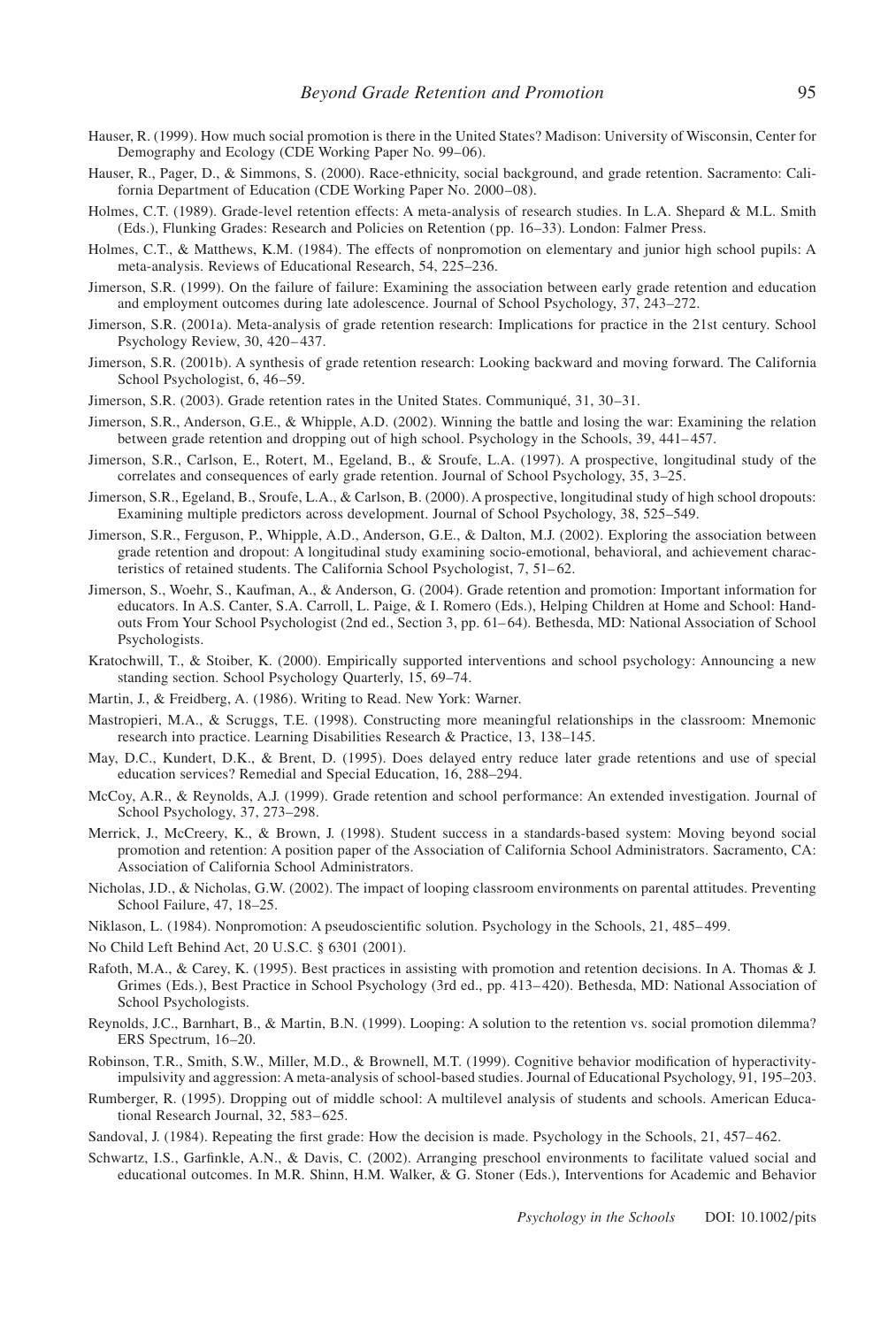- Hauser, R. (1999). How much social promotion is there in the United States? Madison: University of Wisconsin, Center for Demography and Ecology (CDE Working Paper No. 99–06).
- Hauser, R., Pager, D., & Simmons, S. (2000). Race-ethnicity, social background, and grade retention. Sacramento: California Department of Education (CDE Working Paper No. 2000–08).
- Holmes, C.T. (1989). Grade-level retention effects: A meta-analysis of research studies. In L.A. Shepard & M.L. Smith (Eds.), Flunking Grades: Research and Policies on Retention (pp. 16–33). London: Falmer Press.
- Holmes, C.T., & Matthews, K.M. (1984). The effects of nonpromotion on elementary and junior high school pupils: A meta-analysis. Reviews of Educational Research, 54, 225–236.
- Jimerson, S.R. (1999). On the failure of failure: Examining the association between early grade retention and education and employment outcomes during late adolescence. Journal of School Psychology, 37, 243–272.
- Jimerson, S.R. (2001a). Meta-analysis of grade retention research: Implications for practice in the 21st century. School Psychology Review, 30, 420–437.
- Jimerson, S.R. (2001b). A synthesis of grade retention research: Looking backward and moving forward. The California School Psychologist, 6, 46–59.
- Jimerson, S.R. (2003). Grade retention rates in the United States. Communiqué, 31, 30–31.
- Jimerson, S.R., Anderson, G.E., & Whipple, A.D. (2002). Winning the battle and losing the war: Examining the relation between grade retention and dropping out of high school. Psychology in the Schools, 39, 441– 457.
- Jimerson, S.R., Carlson, E., Rotert, M., Egeland, B., & Sroufe, L.A. (1997). A prospective, longitudinal study of the correlates and consequences of early grade retention. Journal of School Psychology, 35, 3–25.
- Jimerson, S.R., Egeland, B., Sroufe, L.A., & Carlson, B. (2000). A prospective, longitudinal study of high school dropouts: Examining multiple predictors across development. Journal of School Psychology, 38, 525–549.
- Jimerson, S.R., Ferguson, P., Whipple, A.D., Anderson, G.E., & Dalton, M.J. (2002). Exploring the association between grade retention and dropout: A longitudinal study examining socio-emotional, behavioral, and achievement characteristics of retained students. The California School Psychologist, 7, 51–62.
- Jimerson, S., Woehr, S., Kaufman, A., & Anderson, G. (2004). Grade retention and promotion: Important information for educators. In A.S. Canter, S.A. Carroll, L. Paige, & I. Romero (Eds.), Helping Children at Home and School: Handouts From Your School Psychologist (2nd ed., Section 3, pp. 61-64). Bethesda, MD: National Association of School Psychologists.
- Kratochwill, T., & Stoiber, K. (2000). Empirically supported interventions and school psychology: Announcing a new standing section. School Psychology Quarterly, 15, 69–74.
- Martin, J., & Freidberg, A. (1986). Writing to Read. New York: Warner.
- Mastropieri, M.A., & Scruggs, T.E. (1998). Constructing more meaningful relationships in the classroom: Mnemonic research into practice. Learning Disabilities Research & Practice, 13, 138–145.
- May, D.C., Kundert, D.K., & Brent, D. (1995). Does delayed entry reduce later grade retentions and use of special education services? Remedial and Special Education, 16, 288–294.
- McCoy, A.R., & Reynolds, A.J. (1999). Grade retention and school performance: An extended investigation. Journal of School Psychology, 37, 273–298.
- Merrick, J., McCreery, K., & Brown, J. (1998). Student success in a standards-based system: Moving beyond social promotion and retention: A position paper of the Association of California School Administrators. Sacramento, CA: Association of California School Administrators.
- Nicholas, J.D., & Nicholas, G.W. (2002). The impact of looping classroom environments on parental attitudes. Preventing School Failure, 47, 18–25.
- Niklason, L. (1984). Nonpromotion: A pseudoscientific solution. Psychology in the Schools, 21, 485–499.
- No Child Left Behind Act, 20 U.S.C. § 6301 (2001).
- Rafoth, M.A., & Carey, K. (1995). Best practices in assisting with promotion and retention decisions. In A. Thomas & J. Grimes (Eds.), Best Practice in School Psychology (3rd ed., pp. 413–420). Bethesda, MD: National Association of School Psychologists.
- Reynolds, J.C., Barnhart, B., & Martin, B.N. (1999). Looping: A solution to the retention vs. social promotion dilemma? ERS Spectrum, 16–20.
- Robinson, T.R., Smith, S.W., Miller, M.D., & Brownell, M.T. (1999). Cognitive behavior modification of hyperactivityimpulsivity and aggression: A meta-analysis of school-based studies. Journal of Educational Psychology, 91, 195–203.
- Rumberger, R. (1995). Dropping out of middle school: A multilevel analysis of students and schools. American Educational Research Journal, 32, 583–625.
- Sandoval, J. (1984). Repeating the first grade: How the decision is made. Psychology in the Schools, 21, 457– 462.
- Schwartz, I.S., Garfinkle, A.N., & Davis, C. (2002). Arranging preschool environments to facilitate valued social and educational outcomes. In M.R. Shinn, H.M. Walker, & G. Stoner (Eds.), Interventions for Academic and Behavior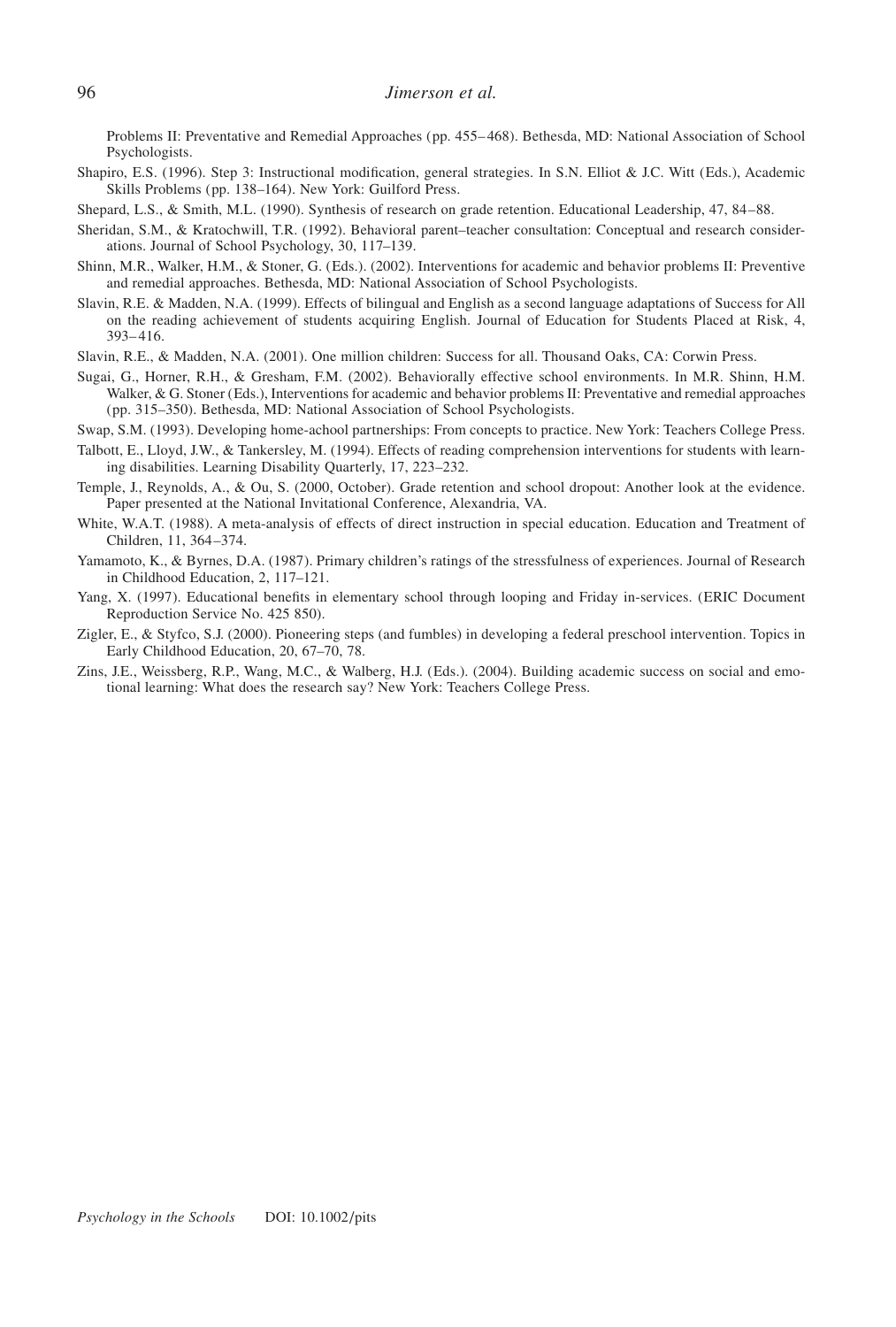Problems II: Preventative and Remedial Approaches (pp. 455–468). Bethesda, MD: National Association of School Psychologists.

- Shapiro, E.S. (1996). Step 3: Instructional modification, general strategies. In S.N. Elliot & J.C. Witt (Eds.), Academic Skills Problems (pp. 138–164). New York: Guilford Press.
- Shepard, L.S., & Smith, M.L. (1990). Synthesis of research on grade retention. Educational Leadership, 47, 84–88.
- Sheridan, S.M., & Kratochwill, T.R. (1992). Behavioral parent–teacher consultation: Conceptual and research considerations. Journal of School Psychology, 30, 117–139.
- Shinn, M.R., Walker, H.M., & Stoner, G. (Eds.). (2002). Interventions for academic and behavior problems II: Preventive and remedial approaches. Bethesda, MD: National Association of School Psychologists.
- Slavin, R.E. & Madden, N.A. (1999). Effects of bilingual and English as a second language adaptations of Success for All on the reading achievement of students acquiring English. Journal of Education for Students Placed at Risk, 4, 393–416.
- Slavin, R.E., & Madden, N.A. (2001). One million children: Success for all. Thousand Oaks, CA: Corwin Press.
- Sugai, G., Horner, R.H., & Gresham, F.M. (2002). Behaviorally effective school environments. In M.R. Shinn, H.M. Walker, & G. Stoner (Eds.), Interventions for academic and behavior problems II: Preventative and remedial approaches (pp. 315–350). Bethesda, MD: National Association of School Psychologists.
- Swap, S.M. (1993). Developing home-achool partnerships: From concepts to practice. New York: Teachers College Press.
- Talbott, E., Lloyd, J.W., & Tankersley, M. (1994). Effects of reading comprehension interventions for students with learning disabilities. Learning Disability Quarterly, 17, 223–232.
- Temple, J., Reynolds, A., & Ou, S. (2000, October). Grade retention and school dropout: Another look at the evidence. Paper presented at the National Invitational Conference, Alexandria, VA.
- White, W.A.T. (1988). A meta-analysis of effects of direct instruction in special education. Education and Treatment of Children, 11, 364–374.
- Yamamoto, K., & Byrnes, D.A. (1987). Primary children's ratings of the stressfulness of experiences. Journal of Research in Childhood Education, 2, 117–121.
- Yang, X. (1997). Educational benefits in elementary school through looping and Friday in-services. (ERIC Document Reproduction Service No. 425 850).
- Zigler, E., & Styfco, S.J. (2000). Pioneering steps (and fumbles) in developing a federal preschool intervention. Topics in Early Childhood Education, 20, 67–70, 78.
- Zins, J.E., Weissberg, R.P., Wang, M.C., & Walberg, H.J. (Eds.). (2004). Building academic success on social and emotional learning: What does the research say? New York: Teachers College Press.